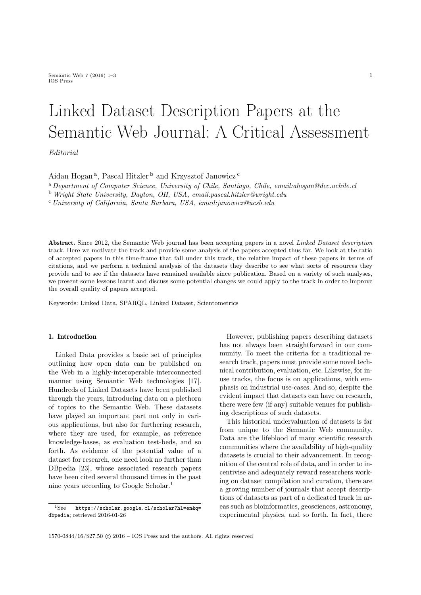# Linked Dataset Description Papers at the Semantic Web Journal: A Critical Assessment

Editorial

Aid[a](#page-0-0)n Hogan<sup>a</sup>, Pascal Hitzler<sup>[b](#page-0-1)</sup> and Krzysztof Janowi[c](#page-0-2)z<sup>c</sup>

<sup>a</sup> Department of Computer Science, University of Chile, Santiago, Chile, email:ahogan@dcc.uchile.cl

<span id="page-0-1"></span><sup>b</sup> Wright State University, Dayton, OH, USA, email:pascal.hitzler@wright.edu

<span id="page-0-2"></span> $c$  University of California, Santa Barbara, USA, email:janowicz@ucsb.edu

Abstract. Since 2012, the Semantic Web journal has been accepting papers in a novel Linked Dataset description track. Here we motivate the track and provide some analysis of the papers accepted thus far. We look at the ratio of accepted papers in this time-frame that fall under this track, the relative impact of these papers in terms of citations, and we perform a technical analysis of the datasets they describe to see what sorts of resources they provide and to see if the datasets have remained available since publication. Based on a variety of such analyses, we present some lessons learnt and discuss some potential changes we could apply to the track in order to improve the overall quality of papers accepted.

Keywords: Linked Data, SPARQL, Linked Dataset, Scientometrics

# 1. Introduction

Linked Data provides a basic set of principles outlining how open data can be published on the Web in a highly-interoperable interconnected manner using Semantic Web technologies [\[17\]](#page-11-0). Hundreds of Linked Datasets have been published through the years, introducing data on a plethora of topics to the Semantic Web. These datasets have played an important part not only in various applications, but also for furthering research, where they are used, for example, as reference knowledge-bases, as evaluation test-beds, and so forth. As evidence of the potential value of a dataset for research, one need look no further than DBpedia [\[23\]](#page-11-1), whose associated research papers have been cited several thousand times in the past nine years according to Google Scholar.[1](#page-0-3)

<span id="page-0-0"></span>However, publishing papers describing datasets has not always been straightforward in our community. To meet the criteria for a traditional research track, papers must provide some novel technical contribution, evaluation, etc. Likewise, for inuse tracks, the focus is on applications, with emphasis on industrial use-cases. And so, despite the evident impact that datasets can have on research, there were few (if any) suitable venues for publishing descriptions of such datasets.

This historical undervaluation of datasets is far from unique to the Semantic Web community. Data are the lifeblood of many scientific research communities where the availability of high-quality datasets is crucial to their advancement. In recognition of the central role of data, and in order to incentivise and adequately reward researchers working on dataset compilation and curation, there are a growing number of journals that accept descriptions of datasets as part of a dedicated track in areas such as bioinformatics, geosciences, astronomy, experimental physics, and so forth. In fact, there

<span id="page-0-3"></span><sup>1</sup>See [https://scholar.google.cl/scholar?hl=en&q=](https://scholar.google.cl/scholar?hl=en&q=dbpedia) [dbpedia](https://scholar.google.cl/scholar?hl=en&q=dbpedia); retrieved 2016-01-26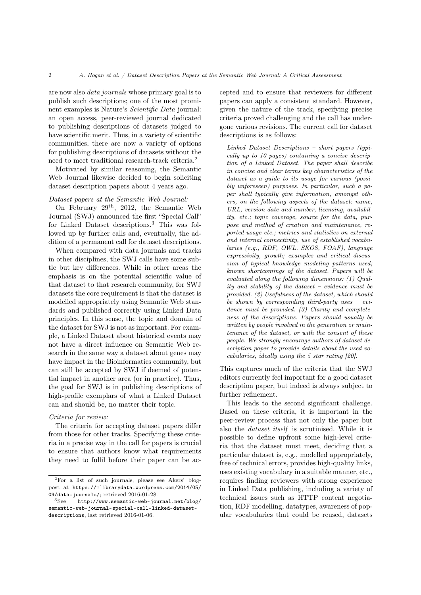are now also data journals whose primary goal is to publish such descriptions; one of the most prominent examples is Nature's Scientific Data journal: an open access, peer-reviewed journal dedicated to publishing descriptions of datasets judged to have scientific merit. Thus, in a variety of scientific communities, there are now a variety of options for publishing descriptions of datasets without the need to meet traditional research-track criteria.[2](#page-1-0)

Motivated by similar reasoning, the Semantic Web Journal likewise decided to begin soliciting dataset description papers about 4 years ago.

# Dataset papers at the Semantic Web Journal:

On February 29th, 2012, the Semantic Web Journal (SWJ) announced the first "Special Call" for Linked Dataset descriptions.[3](#page-1-1) This was followed up by further calls and, eventually, the addition of a permanent call for dataset descriptions.

When compared with data journals and tracks in other disciplines, the SWJ calls have some subtle but key differences. While in other areas the emphasis is on the potential scientific value of that dataset to that research community, for SWJ datasets the core requirement is that the dataset is modelled appropriately using Semantic Web standards and published correctly using Linked Data principles. In this sense, the topic and domain of the dataset for SWJ is not as important. For example, a Linked Dataset about historical events may not have a direct influence on Semantic Web research in the same way a dataset about genes may have impact in the Bioinformatics community, but can still be accepted by SWJ if deemed of potential impact in another area (or in practice). Thus, the goal for SWJ is in publishing descriptions of high-profile exemplars of what a Linked Dataset can and should be, no matter their topic.

#### Criteria for review:

The criteria for accepting dataset papers differ from those for other tracks. Specifying these criteria in a precise way in the call for papers is crucial to ensure that authors know what requirements they need to fulfil before their paper can be accepted and to ensure that reviewers for different papers can apply a consistent standard. However, given the nature of the track, specifying precise criteria proved challenging and the call has undergone various revisions. The current call for dataset descriptions is as follows:

Linked Dataset Descriptions – short papers (typically up to 10 pages) containing a concise description of a Linked Dataset. The paper shall describe in concise and clear terms key characteristics of the dataset as a quide to its usage for various (possibly unforeseen) purposes. In particular, such a paper shall typically give information, amongst others, on the following aspects of the dataset: name, URL, version date and number, licensing, availability, etc.; topic coverage, source for the data, purpose and method of creation and maintenance, reported usage etc.; metrics and statistics on external and internal connectivity, use of established vocabularies (e.g., RDF, OWL, SKOS, FOAF), language expressivity, growth; examples and critical discussion of typical knowledge modeling patterns used; known shortcomings of the dataset. Papers will be evaluated along the following dimensions: (1) Quality and stability of the dataset – evidence must be provided. (2) Usefulness of the dataset, which should be shown by corresponding third-party uses  $-evi$ dence must be provided. (3) Clarity and completeness of the descriptions. Papers should usually be written by people involved in the generation or maintenance of the dataset, or with the consent of these people. We strongly encourage authors of dataset description paper to provide details about the used vocabularies, ideally using the 5 star rating [\[20\]](#page-11-2).

This captures much of the criteria that the SWJ editors currently feel important for a good dataset description paper, but indeed is always subject to further refinement.

This leads to the second significant challenge. Based on these criteria, it is important in the peer-review process that not only the paper but also the dataset itself is scrutinised. While it is possible to define upfront some high-level criteria that the dataset must meet, deciding that a particular dataset is, e.g., modelled appropriately, free of technical errors, provides high-quality links, uses existing vocabulary in a suitable manner, etc., requires finding reviewers with strong experience in Linked Data publishing, including a variety of technical issues such as HTTP content negotiation, RDF modelling, datatypes, awareness of popular vocabularies that could be reused, datasets

<span id="page-1-0"></span><sup>2</sup>For a list of such journals, please see Akers' blogpost at [https://mlibrarydata.wordpress.com/2014/05/](https://mlibrarydata.wordpress.com/2014/05/09/data-journals/) [09/data-journals/](https://mlibrarydata.wordpress.com/2014/05/09/data-journals/); retrieved 2016-01-28.

<span id="page-1-1"></span> $3$ See [http://www.semantic-web-journal.net/blog/](http://www.semantic-web-journal.net/blog/semantic-web-journal-special-call-linked-dataset-descriptions) [semantic-web-journal-special-call-linked-dataset](http://www.semantic-web-journal.net/blog/semantic-web-journal-special-call-linked-dataset-descriptions)[descriptions](http://www.semantic-web-journal.net/blog/semantic-web-journal-special-call-linked-dataset-descriptions), last retrieved 2016-01-06.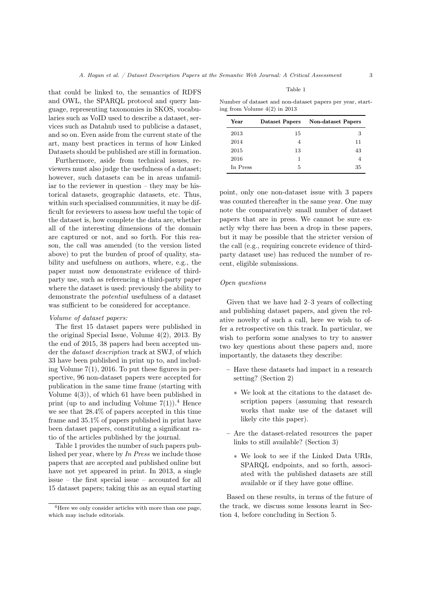that could be linked to, the semantics of RDFS and OWL, the SPARQL protocol and query language, representing taxonomies in SKOS, vocabularies such as VoID used to describe a dataset, services such as Datahub used to publicise a dataset, and so on. Even aside from the current state of the art, many best practices in terms of how Linked Datasets should be published are still in formation.

Furthermore, aside from technical issues, reviewers must also judge the usefulness of a dataset; however, such datasets can be in areas unfamiliar to the reviewer in question – they may be historical datasets, geographic datasets, etc. Thus, within such specialised communities, it may be difficult for reviewers to assess how useful the topic of the dataset is, how complete the data are, whether all of the interesting dimensions of the domain are captured or not, and so forth. For this reason, the call was amended (to the version listed above) to put the burden of proof of quality, stability and usefulness on authors, where, e.g., the paper must now demonstrate evidence of thirdparty use, such as referencing a third-party paper where the dataset is used: previously the ability to demonstrate the potential usefulness of a dataset was sufficient to be considered for acceptance.

#### Volume of dataset papers:

The first 15 dataset papers were published in the original Special Issue, Volume 4(2), 2013. By the end of 2015, 38 papers had been accepted under the dataset description track at SWJ, of which 33 have been published in print up to, and including Volume  $7(1)$ , 2016. To put these figures in perspective, 96 non-dataset papers were accepted for publication in the same time frame (starting with Volume 4(3)), of which 61 have been published in print (up to and including Volume  $7(1)$ ).<sup>[4](#page-2-0)</sup> Hence we see that 28.4% of papers accepted in this time frame and 35.1% of papers published in print have been dataset papers, constituting a significant ratio of the articles published by the journal.

Table [1](#page-2-1) provides the number of such papers published per year, where by In Press we include those papers that are accepted and published online but have not yet appeared in print. In 2013, a single issue – the first special issue – accounted for all 15 dataset papers; taking this as an equal starting Table 1

<span id="page-2-1"></span>Number of dataset and non-dataset papers per year, starting from Volume 4(2) in 2013

| Year     |    | Dataset Papers Non-dataset Papers |
|----------|----|-----------------------------------|
| 2013     | 15 | З                                 |
| 2014     | 4  | 11                                |
| 2015     | 13 | 43                                |
| 2016     |    |                                   |
| In Press | 5  | 35                                |

point, only one non-dataset issue with 3 papers was counted thereafter in the same year. One may note the comparatively small number of dataset papers that are in press. We cannot be sure exactly why there has been a drop in these papers, but it may be possible that the stricter version of the call (e.g., requiring concrete evidence of thirdparty dataset use) has reduced the number of recent, eligible submissions.

#### Open questions

Given that we have had 2–3 years of collecting and publishing dataset papers, and given the relative novelty of such a call, here we wish to offer a retrospective on this track. In particular, we wish to perform some analyses to try to answer two key questions about these papers and, more importantly, the datasets they describe:

- Have these datasets had impact in a research setting? (Section [2\)](#page-3-0)
	- ∗ We look at the citations to the dataset description papers (assuming that research works that make use of the dataset will likely cite this paper).
- Are the dataset-related resources the paper links to still available? (Section [3\)](#page-4-0)
	- ∗ We look to see if the Linked Data URIs, SPARQL endpoints, and so forth, associated with the published datasets are still available or if they have gone offline.

Based on these results, in terms of the future of the track, we discuss some lessons learnt in Section [4,](#page-8-0) before concluding in Section [5.](#page-10-0)

<span id="page-2-0"></span><sup>4</sup>Here we only consider articles with more than one page, which may include editorials.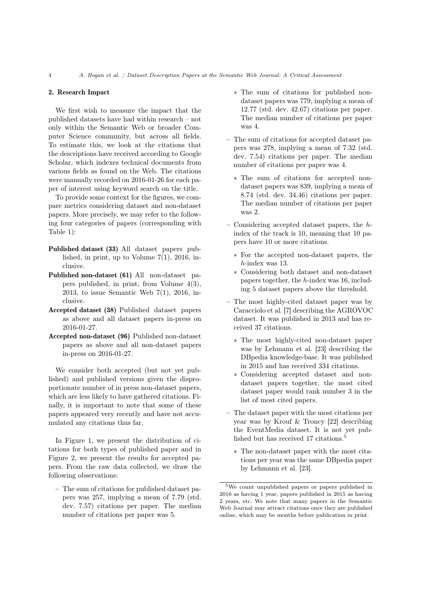#### <span id="page-3-0"></span>2. Research Impact

We first wish to measure the impact that the published datasets have had within research – not only within the Semantic Web or broader Computer Science community, but across all fields. To estimate this, we look at the citations that the descriptions have received according to Google Scholar, which indexes technical documents from various fields as found on the Web. The citations were manually recorded on 2016-01-26 for each paper of interest using keyword search on the title.

To provide some context for the figures, we compare metrics considering dataset and non-dataset papers. More precisely, we may refer to the following four categories of papers (corresponding with Table [1\)](#page-2-1):

- Published dataset (33) All dataset papers published, in print, up to Volume  $7(1)$ , 2016, inclusive.
- Published non-dataset (61) All non-dataset papers published, in print, from Volume 4(3), 2013, to issue Semantic Web 7(1), 2016, inclusive.
- Accepted dataset (38) Published dataset papers as above and all dataset papers in-press on 2016-01-27.
- Accepted non-dataset (96) Published non-dataset papers as above and all non-dataset papers in-press on 2016-01-27.

We consider both accepted (but not yet published) and published versions given the disproportionate number of in press non-dataset papers, which are less likely to have gathered citations. Finally, it is important to note that some of these papers appeared very recently and have not accumulated any citations thus far.

In Figure [1,](#page-4-1) we present the distribution of citations for both types of published paper and in Figure [2,](#page-4-2) we present the results for accepted papers. From the raw data collected, we draw the following observations:

– The sum of citations for published dataset papers was 257, implying a mean of 7.79 (std. dev. 7.57) citations per paper. The median number of citations per paper was 5.

- ∗ The sum of citations for published nondataset papers was 779, implying a mean of 12.77 (std. dev. 42.67) citations per paper. The median number of citations per paper was 4.
- The sum of citations for accepted dataset papers was 278, implying a mean of 7.32 (std. dev. 7.54) citations per paper. The median number of citations per paper was 4.
	- ∗ The sum of citations for accepted nondataset papers was 839, implying a mean of 8.74 (std. dev. 34.46) citations per paper. The median number of citations per paper was 2.
- Considering accepted dataset papers, the hindex of the track is 10, meaning that 10 papers have 10 or more citations.
	- ∗ For the accepted non-dataset papers, the h-index was 13.
	- ∗ Considering both dataset and non-dataset papers together, the h-index was 16, including 5 dataset papers above the threshold.
- The most highly-cited dataset paper was by Caracciolo et al. [\[7\]](#page-11-3) describing the AGROVOC dataset. It was published in 2013 and has received 37 citations.
	- ∗ The most highly-cited non-dataset paper was by Lehmann et al. [\[23\]](#page-11-1) describing the DBpedia knowledge-base. It was published in 2015 and has received 334 citations.
	- ∗ Considering accepted dataset and nondataset papers together, the most cited dataset paper would rank number 3 in the list of most cited papers.
- The dataset paper with the most citations per year was by Krouf & Troncy [\[22\]](#page-11-4) describing the EventMedia dataset. It is not yet pub-lished but has received 17 citations.<sup>[5](#page-3-1)</sup>
	- ∗ The non-dataset paper with the most citations per year was the same DBpedia paper by Lehmann et al. [\[23\]](#page-11-1).

<span id="page-3-1"></span><sup>5</sup>We count unpublished papers or papers published in 2016 as having 1 year, papers published in 2015 as having 2 years, etc. We note that many papers in the Semantic Web Journal may attract citations once they are published online, which may be months before publication in print.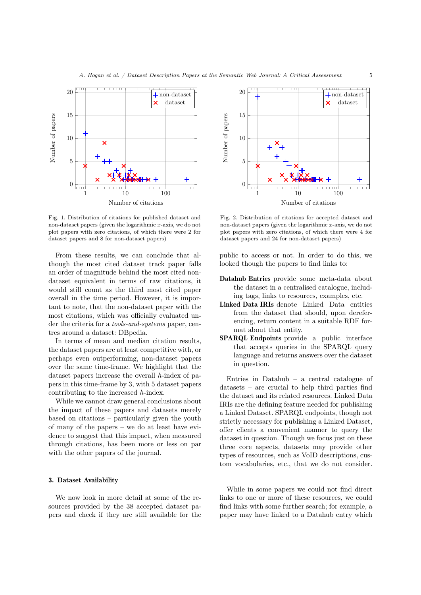

<span id="page-4-1"></span>Fig. 1. Distribution of citations for published dataset and non-dataset papers (given the logarithmic  $x$ -axis, we do not plot papers with zero citations, of which there were 2 for dataset papers and 8 for non-dataset papers)

From these results, we can conclude that although the most cited dataset track paper falls an order of magnitude behind the most cited nondataset equivalent in terms of raw citations, it would still count as the third most cited paper overall in the time period. However, it is important to note, that the non-dataset paper with the most citations, which was officially evaluated under the criteria for a *tools-and-systems* paper, centres around a dataset: DBpedia.

In terms of mean and median citation results, the dataset papers are at least competitive with, or perhaps even outperforming, non-dataset papers over the same time-frame. We highlight that the dataset papers increase the overall h-index of papers in this time-frame by 3, with 5 dataset papers contributing to the increased h-index.

While we cannot draw general conclusions about the impact of these papers and datasets merely based on citations – particularly given the youth of many of the papers – we do at least have evidence to suggest that this impact, when measured through citations, has been more or less on par with the other papers of the journal.

# <span id="page-4-0"></span>3. Dataset Availability

We now look in more detail at some of the resources provided by the 38 accepted dataset papers and check if they are still available for the



<span id="page-4-2"></span>Fig. 2. Distribution of citations for accepted dataset and non-dataset papers (given the logarithmic x-axis, we do not plot papers with zero citations, of which there were 4 for dataset papers and 24 for non-dataset papers)

public to access or not. In order to do this, we looked though the papers to find links to:

- Datahub Entries provide some meta-data about the dataset in a centralised catalogue, including tags, links to resources, examples, etc.
- Linked Data IRIs denote Linked Data entities from the dataset that should, upon dereferencing, return content in a suitable RDF format about that entity.
- SPARQL Endpoints provide a public interface that accepts queries in the SPARQL query language and returns answers over the dataset in question.

Entries in Datahub – a central catalogue of datasets – are crucial to help third parties find the dataset and its related resources. Linked Data IRIs are the defining feature needed for publishing a Linked Dataset. SPARQL endpoints, though not strictly necessary for publishing a Linked Dataset, offer clients a convenient manner to query the dataset in question. Though we focus just on these three core aspects, datasets may provide other types of resources, such as VoID descriptions, custom vocabularies, etc., that we do not consider.

While in some papers we could not find direct links to one or more of these resources, we could find links with some further search; for example, a paper may have linked to a Datahub entry which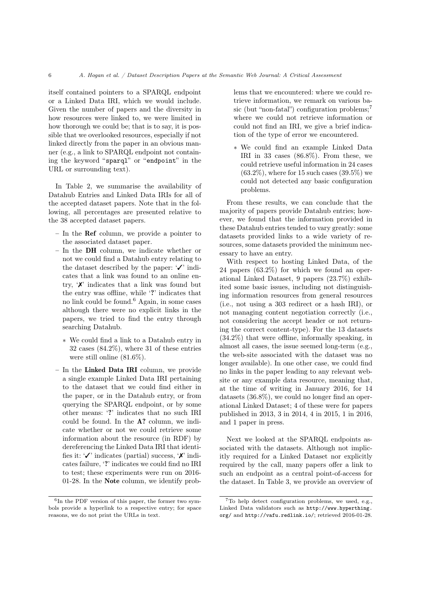itself contained pointers to a SPARQL endpoint or a Linked Data IRI, which we would include. Given the number of papers and the diversity in how resources were linked to, we were limited in how thorough we could be; that is to say, it is possible that we overlooked resources, especially if not linked directly from the paper in an obvious manner (e.g., a link to SPARQL endpoint not containing the keyword "sparql" or "endpoint" in the URL or surrounding text).

In Table [2,](#page-6-0) we summarise the availability of Datahub Entries and Linked Data IRIs for all of the accepted dataset papers. Note that in the following, all percentages are presented relative to the 38 accepted dataset papers.

- In the Ref column, we provide a pointer to the associated dataset paper.
- In the DH column, we indicate whether or not we could find a Datahub entry relating to the dataset described by the paper:  $\checkmark$  indicates that a link was found to an online entry, '✗' indicates that a link was found but the entry was offline, while '?' indicates that no link could be found.[6](#page-5-0) Again, in some cases although there were no explicit links in the papers, we tried to find the entry through searching Datahub.
	- ∗ We could find a link to a Datahub entry in 32 cases (84.2%), where 31 of these entries were still online (81.6%).
- In the Linked Data IRI column, we provide a single example Linked Data IRI pertaining to the dataset that we could find either in the paper, or in the Datahub entry, or from querying the SPARQL endpoint, or by some other means: '?' indicates that no such IRI could be found. In the A? column, we indicate whether or not we could retrieve some information about the resource (in RDF) by dereferencing the Linked Data IRI that identifies it: ' $\checkmark$ ' indicates (partial) success, ' $\checkmark$ ' indicates failure, '?' indicates we could find no IRI to test; these experiments were run on 2016- 01-28. In the Note column, we identify prob-

lems that we encountered: where we could retrieve information, we remark on various ba-sic (but "non-fatal") configuration problems;<sup>[7](#page-5-1)</sup> where we could not retrieve information or could not find an IRI, we give a brief indication of the type of error we encountered.

∗ We could find an example Linked Data IRI in 33 cases (86.8%). From these, we could retrieve useful information in 24 cases  $(63.2\%)$ , where for 15 such cases  $(39.5\%)$  we could not detected any basic configuration problems.

From these results, we can conclude that the majority of papers provide Datahub entries; however, we found that the information provided in these Datahub entries tended to vary greatly: some datasets provided links to a wide variety of resources, some datasets provided the minimum necessary to have an entry.

With respect to hosting Linked Data, of the 24 papers (63.2%) for which we found an operational Linked Dataset, 9 papers (23.7%) exhibited some basic issues, including not distinguishing information resources from general resources (i.e., not using a 303 redirect or a hash IRI), or not managing content negotiation correctly (i.e., not considering the accept header or not returning the correct content-type). For the 13 datasets (34.2%) that were offline, informally speaking, in almost all cases, the issue seemed long-term (e.g., the web-site associated with the dataset was no longer available). In one other case, we could find no links in the paper leading to any relevant website or any example data resource, meaning that, at the time of writing in January 2016, for 14 datasets (36.8%), we could no longer find an operational Linked Dataset; 4 of these were for papers published in 2013, 3 in 2014, 4 in 2015, 1 in 2016, and 1 paper in press.

Next we looked at the SPARQL endpoints associated with the datasets. Although not implicitly required for a Linked Dataset nor explicitly required by the call, many papers offer a link to such an endpoint as a central point-of-access for the dataset. In Table [3,](#page-9-0) we provide an overview of

<span id="page-5-0"></span><sup>6</sup> In the PDF version of this paper, the former two symbols provide a hyperlink to a respective entry; for space reasons, we do not print the URLs in text.

<span id="page-5-1"></span><sup>7</sup>To help detect configuration problems, we used, e.g., Linked Data validators such as [http://www.hyperthing.](http://www.hyperthing.org/) [org/](http://www.hyperthing.org/) and <http://vafu.redlink.io/>; retrieved 2016-01-28.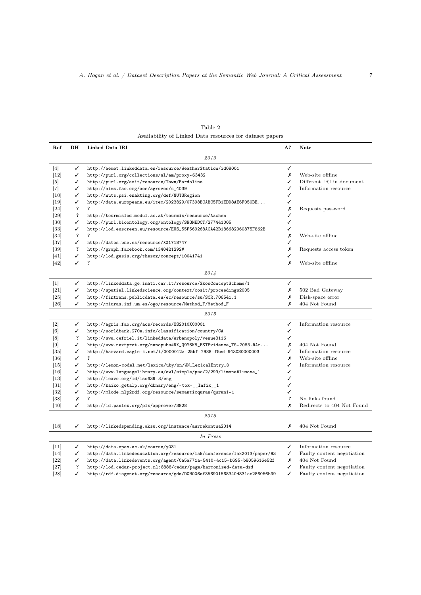| Ref               | DH                      | <b>Linked Data IRI</b>                                                   | $A$ ? | Note                       |
|-------------------|-------------------------|--------------------------------------------------------------------------|-------|----------------------------|
|                   |                         | 2013                                                                     |       |                            |
| [4]               | ✓                       | http://aemet.linkeddata.es/resource/WeatherStation/id08001               | ✓     |                            |
| $[12]$            | ✓                       | http://purl.org/collections/nl/am/proxy-63432                            | Х     | Web-site offline           |
| $\lceil 5 \rceil$ | ✓                       | http://purl.org/asit/resource/Town/Bardolino                             | ✓     | Different IRI in document  |
| $[7]$             | ✓                       | http://aims.fao.org/aos/agrovoc/c_4039                                   | ✓     | Information resource       |
| [10]              | ✓                       | http://nuts.psi.enakting.org/def/NUTSRegion                              | ✓     |                            |
| [19]              | ✓                       | http://data.europeana.eu/item/2023829/07398BCABC5FB1EDD8AE6F050BE        | ✓     |                            |
| [24]              | $\overline{\mathbf{?}}$ | ?                                                                        | Х     | Requests password          |
| $\left[29\right]$ | ?                       | http://tourmislod.modul.ac.at/tourmis/resource/Aachen                    | ✓     |                            |
| $\left[30\right]$ | ✓                       | http://purl.bioontology.org/ontology/SNOMEDCT/277441005                  | ✓     |                            |
| $[33]$            | ✓                       | http://lod.euscreen.eu/resource/EUS_55F569268ACA42B186682960875F862B     | ✓     |                            |
| $[34]$            | ?                       | $\overline{\mathbf{?}}$                                                  | х     | Web-site offline           |
| $[37]$            | ✓                       | http://datos.bne.es/resource/XX1718747                                   | ✓     |                            |
| $\left[39\right]$ | ?                       | http://graph.facebook.com/1340421292#                                    | Х     | Requests access token      |
| [41]              | ✓                       | http://lod.gesis.org/thesoz/concept/10041741                             | ✓     |                            |
| [42]              | ✓                       | ?                                                                        | Х     | Web-site offline           |
|                   |                         | 2014                                                                     |       |                            |
| $[1]$             | ✓                       | http://linkeddata.ge.imati.cnr.it/resource/SkosConceptScheme/1           | ✓     |                            |
| [21]              | ✓                       | http://spatial.linkedscience.org/context/cosit/proceedings2005           | Х     | 502 Bad Gateway            |
| [25]              | ✓                       | http://fintrans.publicdata.eu/ec/resource/su/SCR.706541.1                | Х     | Disk-space error           |
| [26]              | ✓                       | http://miuras.inf.um.es/ogo/resource/Method_F/Method_F                   | x     | 404 Not Found              |
|                   |                         | 2015                                                                     |       |                            |
| $\lceil 2 \rceil$ | ✓                       | http://agris.fao.org/aos/records/XS2010X00001                            | ✓     | Information resource       |
| [6]               | ✓                       | http://worldbank.270a.info/classification/country/CA                     | ✓     |                            |
| $\lceil 8 \rceil$ | ?                       | http://swa.cefriel.it/linkeddata/urbanopoly/venue3116                    | ✓     |                            |
| [9]               | ✓                       | http://www.nextprot.org/nanopubs#NX_Q9Y6K8_ESTEvidence_TS-2083.RAr       | Х     | 404 Not Found              |
| $[35]$            | ✓                       | http://harvard.eagle-i.net/i/0000012a-25bf-7988-f5ed-943080000003        | ✓     | Information resource       |
| $[36]$            | ✓                       | ?                                                                        | х     | Web-site offline           |
| $[15]$            | ✓                       | http://lemon-model.net/lexica/uby/wn/WN_LexicalEntry_0                   | ✓     | Information resource       |
| [16]              | ✓                       | http://www.languagelibrary.eu/owl/simple/psc/2/299/limone#limone_1       | ✓     |                            |
| $[13]$            | ✓                       | http://lexvo.org/id/iso639-3/eng                                         | ✓     |                            |
| $[31]$            | ✓                       | http://kaiko.getalp.org/dbnary/eng/-tox-__Infix__1                       | ✓     |                            |
| $\left[32\right]$ | ✓                       | http://mlode.nlp2rdf.org/resource/semanticquran/quran1-1                 | ✓     |                            |
| [38]              | Х                       |                                                                          | ?     | No links found             |
| [40]              | ✓                       | http://ld.panlex.org/plx/approver/3828                                   | х     | Redirects to 404 Not Found |
|                   |                         | 2016                                                                     |       |                            |
| $[18]$            | ✓                       | http://linkedspending.aksw.org/instance/aurrekontua2014                  | Х     | 404 Not Found              |
|                   |                         | In Press                                                                 |       |                            |
| $[11]$            | ✓                       | http://data.open.ac.uk/course/y031                                       | ✓     | Information resource       |
| $[14]$            | ✓                       | http://data.linkededucation.org/resource/lak/conference/lak2013/paper/93 | ✓     | Faulty content negotiation |
| $[22]$            | ✓                       | http://data.linkedevents.org/agent/0a5a771a-5410-4c15-b695-b8059616e52f  | х     | 404 Not Found              |
|                   |                         |                                                                          |       |                            |

<span id="page-6-0"></span>Table 2 Availability of Linked Data resources for dataset papers

| [18]   |   | http://linkedspending.aksw.org/instance/aurrekontua2014                  | 404 Not Found              |
|--------|---|--------------------------------------------------------------------------|----------------------------|
|        |   | In Press                                                                 |                            |
| $[11]$ |   | http://data.open.ac.uk/course/y031                                       | Information resource       |
| $[14]$ | √ | http://data.linkededucation.org/resource/lak/conference/lak2013/paper/93 | Faulty content negotiation |
| $[22]$ |   | http://data.linkedevents.org/agent/0a5a771a-5410-4c15-b695-b8059616e52f  | 404 Not Found              |
| $[27]$ |   | http://lod.cedar-project.nl:8888/cedar/page/harmonised-data-dsd          | Faulty content negotiation |
| [28]   |   | http://rdf.disgenet.org/resource/gda/DGN006ef356901568340d831cc286056b99 | Faulty content negotiation |
|        |   |                                                                          |                            |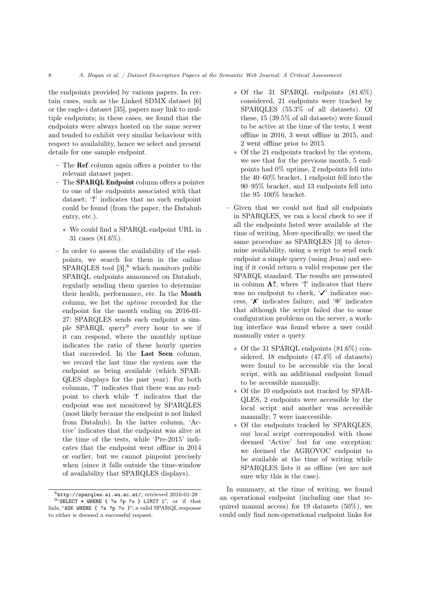the endpoints provided by various papers. In certain cases, such as the Linked SDMX dataset [\[6\]](#page-11-13) or the eagle-i dataset [\[35\]](#page-12-11), papers may link to multiple endpoints; in these cases, we found that the endpoints were always hosted on the same server and tended to exhibit very similar behaviour with respect to availability, hence we select and present details for one sample endpoint.

- The Ref column again offers a pointer to the relevant dataset paper.
- The SPARQL Endpoint column offers a pointer to one of the endpoints associated with that dataset; '?' indicates that no such endpoint could be found (from the paper, the Datahub entry, etc.).
	- ∗ We could find a SPARQL endpoint URL in 31 cases (81.6%).
- In order to assess the availability of the endpoints, we search for them in the online SPARQLES tool  $[3]$ ,<sup>[8](#page-7-0)</sup> which monitors public SPARQL endpoints announced on Datahub, regularly sending them queries to determine their health, performance, etc. In the Month column, we list the uptime recorded for the endpoint for the month ending on 2016-01- 27: SPARQLES sends each endpoint a sim-ple SPARQL query<sup>[9](#page-7-1)</sup> every hour to see if it can respond, where the monthly uptime indicates the ratio of these hourly queries that succeeded. In the Last Seen column, we record the last time the system saw the endpoint as being available (which SPAR-QLES displays for the past year). For both columns, '?' indicates that there was no endpoint to check while '!' indicates that the endpoint was not monitored by SPARQLES (most likely because the endpoint is not linked from Datahub). In the latter column, 'Active' indicates that the endpoint was alive at the time of the tests, while 'Pre-2015' indicates that the endpoint went offline in 2014 or earlier, but we cannot pinpoint precisely when (since it falls outside the time-window of availability that SPARQLES displays).
- ∗ Of the 31 SPARQL endpoints (81.6%) considered, 21 endpoints were tracked by SPARQLES (55.3% of all datasets). Of these, 15 (39.5% of all datasets) were found to be active at the time of the tests; 1 went offline in 2016, 3 went offline in 2015, and 2 went offline prior to 2015.
- ∗ Of the 21 endpoints tracked by the system, we see that for the previous month, 5 endpoints had 0% uptime, 2 endpoints fell into the 40–60% bracket, 1 endpoint fell into the 90–95% bracket, and 13 endpoints fell into the 95–100% bracket.
- Given that we could not find all endpoints in SPARQLES, we ran a local check to see if all the endpoints listed were available at the time of writing. More specifically, we used the same procedure as SPARQLES [\[3\]](#page-11-22) to determine availability, using a script to send each endpoint a simple query (using Jena) and seeing if it could return a valid response per the SPARQL standard. The results are presented in column  $\mathbf{A}$ ?, where '?' indicates that there was no endpoint to check, '✓' indicates success,  $\mathbf{\hat{x}}'$  indicates failure, and  $\mathbf{\hat{x}}'$  indicates that although the script failed due to some configuration problems on the server, a working interface was found where a user could manually enter a query.
	- ∗ Of the 31 SPARQL endpoints (81.6%) considered, 18 endpoints (47.4% of datasets) were found to be accessible via the local script, with an additional endpoint found to be accessible manually.
	- ∗ Of the 10 endpoints not tracked by SPAR-QLES, 2 endpoints were accessible by the local script and another was accessible manually; 7 were inaccessible.
	- ∗ Of the endpoints tracked by SPARQLES, our local script corresponded with those deemed 'Active' but for one exception: we deemed the AGROVOC endpoint to be available at the time of writing while SPARQLES lists it as offline (we are not sure why this is the case).

In summary, at the time of writing, we found an operational endpoint (including one that required manual access) for 19 datasets  $(50\%)$ , we could only find non-operational endpoint links for

<span id="page-7-1"></span><span id="page-7-0"></span><sup>8</sup><http://sparqles.ai.wu.ac.at/>; retrieved 2016-01-28 9 "SELECT \* WHERE { ?s ?p ?o } LIMIT 1", or if that fails, "ASK WHERE { ?s ?p ?o }"; a valid SPARQL response to either is deemed a successful request.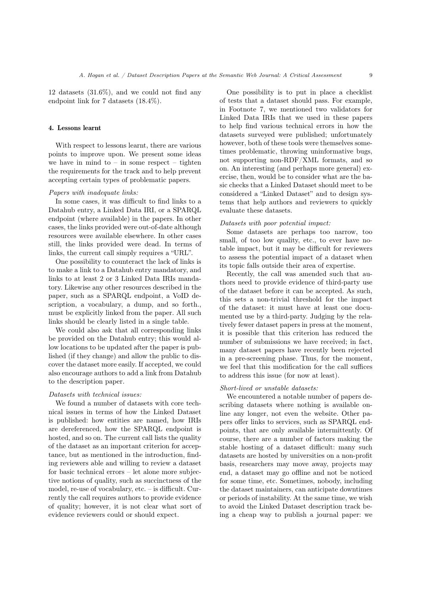12 datasets (31.6%), and we could not find any endpoint link for 7 datasets (18.4%).

# <span id="page-8-0"></span>4. Lessons learnt

With respect to lessons learnt, there are various points to improve upon. We present some ideas we have in mind to – in some respect – tighten the requirements for the track and to help prevent accepting certain types of problematic papers.

## Papers with inadequate links:

In some cases, it was difficult to find links to a Datahub entry, a Linked Data IRI, or a SPARQL endpoint (where available) in the papers. In other cases, the links provided were out-of-date although resources were available elsewhere. In other cases still, the links provided were dead. In terms of links, the current call simply requires a "URL".

One possibility to counteract the lack of links is to make a link to a Datahub entry mandatory, and links to at least 2 or 3 Linked Data IRIs mandatory. Likewise any other resources described in the paper, such as a SPARQL endpoint, a VoID description, a vocabulary, a dump, and so forth., must be explicitly linked from the paper. All such links should be clearly listed in a single table.

We could also ask that all corresponding links be provided on the Datahub entry; this would allow locations to be updated after the paper is published (if they change) and allow the public to discover the dataset more easily. If accepted, we could also encourage authors to add a link from Datahub to the description paper.

# Datasets with technical issues:

We found a number of datasets with core technical issues in terms of how the Linked Dataset is published: how entities are named, how IRIs are dereferenced, how the SPARQL endpoint is hosted, and so on. The current call lists the quality of the dataset as an important criterion for acceptance, but as mentioned in the introduction, finding reviewers able and willing to review a dataset for basic technical errors – let alone more subjective notions of quality, such as succinctness of the model, re-use of vocabulary, etc. – is difficult. Currently the call requires authors to provide evidence of quality; however, it is not clear what sort of evidence reviewers could or should expect.

One possibility is to put in place a checklist of tests that a dataset should pass. For example, in Footnote [7,](#page-5-1) we mentioned two validators for Linked Data IRIs that we used in these papers to help find various technical errors in how the datasets surveyed were published; unfortunately however, both of these tools were themselves sometimes problematic, throwing uninformative bugs, not supporting non-RDF/XML formats, and so on. An interesting (and perhaps more general) exercise, then, would be to consider what are the basic checks that a Linked Dataset should meet to be considered a "Linked Dataset" and to design systems that help authors and reviewers to quickly evaluate these datasets.

# Datasets with poor potential impact:

Some datasets are perhaps too narrow, too small, of too low quality, etc., to ever have notable impact, but it may be difficult for reviewers to assess the potential impact of a dataset when its topic falls outside their area of expertise.

Recently, the call was amended such that authors need to provide evidence of third-party use of the dataset before it can be accepted. As such, this sets a non-trivial threshold for the impact of the dataset: it must have at least one documented use by a third-party. Judging by the relatively fewer dataset papers in press at the moment, it is possible that this criterion has reduced the number of submissions we have received; in fact, many dataset papers have recently been rejected in a pre-screening phase. Thus, for the moment, we feel that this modification for the call suffices to address this issue (for now at least).

#### Short-lived or unstable datasets:

We encountered a notable number of papers describing datasets where nothing is available online any longer, not even the website. Other papers offer links to services, such as SPARQL endpoints, that are only available intermittently. Of course, there are a number of factors making the stable hosting of a dataset difficult: many such datasets are hosted by universities on a non-profit basis, researchers may move away, projects may end, a dataset may go offline and not be noticed for some time, etc. Sometimes, nobody, including the dataset maintainers, can anticipate downtimes or periods of instability. At the same time, we wish to avoid the Linked Dataset description track being a cheap way to publish a journal paper: we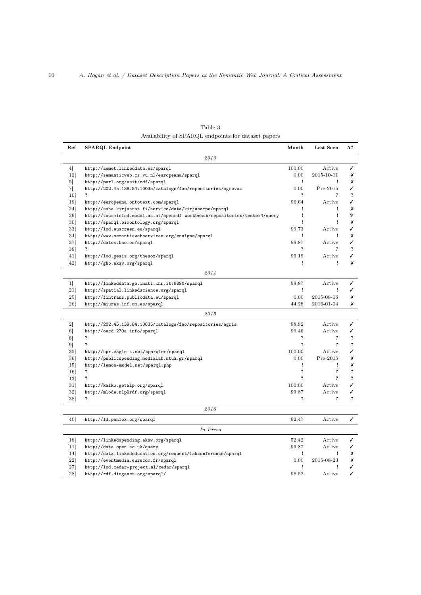| Ref               | SPARQL Endpoint                                                                    | Month                   | Last Seen  | A?     |
|-------------------|------------------------------------------------------------------------------------|-------------------------|------------|--------|
|                   | 2013                                                                               |                         |            |        |
| $[4]$             | http://aemet.linkeddata.es/sparql                                                  | 100.00                  | Active     | ✓      |
| $[12]$            | http://semanticweb.cs.vu.nl/europeana/sparql                                       | 0.00                    | 2015-10-11 | х      |
| $\lceil 5 \rceil$ | http://purl.org/asit/rdf/sparql                                                    | Ţ                       | ı          | х      |
| $\lceil 7 \rceil$ | $\verb+http://202.45.139.84:10035/catalogs/fao/repositories/agrovoc$               | 0.00                    | $Pre-2015$ | ✓      |
| $\left[10\right]$ | ?                                                                                  | ?                       | 7          | ?      |
| [19]              | http://europeana.ontotext.com/sparql                                               | 96.64                   | Active     | ✓      |
| $[24]$            | http://saha.kirjastot.fi/service/data/kirjasampo/sparql                            | Ţ                       | ı          | Х      |
| [29]              | $\verb+http://tournislod.modul.ac.at/openrdf-workbench/repositories/tester4/query$ | Ţ                       | ï          | $\ast$ |
| [30]              | http://sparql.bioontology.org/sparql                                               | Ţ                       | Ţ          | Х      |
| $[33]$            | http://lod.euscreen.eu/sparql                                                      | 99.73                   | Active     | ✓      |
| $[34]$            | http://www.semanticwebservices.org/enalgae/sparql                                  |                         | Ţ          | Х      |
| $[37]$            | http://datos.bne.es/sparql                                                         | 99.87                   | Active     | ✓      |
| $\left[39\right]$ | ?                                                                                  | ?                       | ?          | ?      |
| $[41]$            | http://lod.gesis.org/thesoz/sparql                                                 | 99.19                   | Active     | ✓      |
| [42]              | http://gho.aksw.org/sparql                                                         | Ţ                       | Ţ          | х      |
|                   | 2014                                                                               |                         |            |        |
| $[1]$             | http://linkeddata.ge.imati.cnr.it:8890/sparql                                      | 99.87                   | Active     | ✓      |
| $[21]$            | http://spatial.linkedscience.org/sparql                                            | Ţ                       | 1          | ✓      |
| [25]              | http://fintrans.publicdata.eu/sparql                                               | 0.00                    | 2015-08-16 | Х      |
| $[26]$            | http://miuras.inf.um.es/sparql                                                     | 44.28                   | 2016-01-04 | х      |
|                   | 2015                                                                               |                         |            |        |
| $\lceil 2 \rceil$ | http://202.45.139.84:10035/catalogs/fao/repositories/agris                         | 98.92                   | Active     | ✓      |
| [6]               | http://oecd.270a.info/sparql                                                       | 99.46                   | Active     | ✓      |
| $\lceil 8 \rceil$ | ?                                                                                  | ?                       | ?          | ?      |
| [9]               | ?                                                                                  | ?                       | ?          | ?      |
| [35]              | http://upr.eagle-i.net/sparqler/sparql                                             | 100.00                  | Active     | ✓      |
| [36]              | http://publicspending.medialab.ntua.gr/sparql                                      | 0.00                    | $Pre-2015$ | х      |
| $\left[15\right]$ | http://lemon-model.net/sparql.php                                                  | Ţ                       | Ţ          | Х      |
| [16]              | ?                                                                                  | $\overline{\mathbf{?}}$ | ?          | ?      |
| $[13]$            | ?                                                                                  | ?                       | ?          | ?      |
| $[31]$            | http://kaiko.getalp.org/sparql                                                     | 100.00                  | Active     | ✓      |
| $[32]$            | http://mlode.nlp2rdf.org/sparql                                                    | 99.87                   | Active     | ✓      |
| $[38]$            | ?                                                                                  | ?                       | ?          | ?      |
|                   | 2016                                                                               |                         |            |        |
| [40]              | http://ld.panlex.org/sparql                                                        | 92.47                   | Active     | ✓      |
|                   | In Press                                                                           |                         |            |        |
| $[18]$            | http://linkedspending.aksw.org/sparql                                              | 52.42                   | Active     | ✓      |
| $[11]$            | http://data.open.ac.uk/query                                                       | 99.87                   | Active     | ✓      |
| $[14]$            | http://data.linkededucation.org/request/lakconference/sparql                       | Ţ                       | Ţ          | х      |
| $[22]$            | http://eventmedia.eurecom.fr/sparql                                                | 0.00                    | 2015-08-23 | Х      |
| $[27]$            | http://lod.cedar-project.nl/cedar/sparql                                           | Ţ                       | ı          | ✓      |
| [28]              | http://rdf.disgenet.org/sparql/                                                    | 98.52                   | Active     | ✓      |

 $[28] \quad \text{http://rdf.disgenet.org/sparql/} \qquad \qquad 98.52 \qquad \qquad \text{Active}$  $[28] \quad \text{http://rdf.disgenet.org/sparql/} \qquad \qquad 98.52 \qquad \qquad \text{Active}$  $[28] \quad \text{http://rdf.disgenet.org/sparql/} \qquad \qquad 98.52 \qquad \qquad \text{Active}$  $[28] \quad \text{http://rdf.disgenet.org/sparql/} \qquad \qquad 98.52 \qquad \qquad \text{Active}$ 

<span id="page-9-0"></span>Table 3 Availability of SPARQL endpoints for dataset papers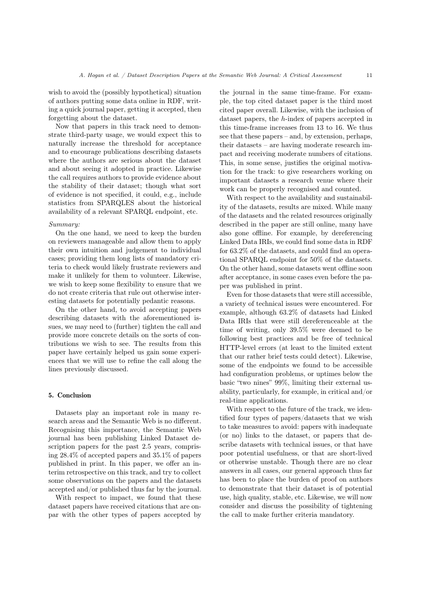wish to avoid the (possibly hypothetical) situation of authors putting some data online in RDF, writing a quick journal paper, getting it accepted, then forgetting about the dataset.

Now that papers in this track need to demonstrate third-party usage, we would expect this to naturally increase the threshold for acceptance and to encourage publications describing datasets where the authors are serious about the dataset and about seeing it adopted in practice. Likewise the call requires authors to provide evidence about the stability of their dataset; though what sort of evidence is not specified, it could, e.g., include statistics from SPARQLES about the historical availability of a relevant SPARQL endpoint, etc.

#### Summary:

On the one hand, we need to keep the burden on reviewers manageable and allow them to apply their own intuition and judgement to individual cases; providing them long lists of mandatory criteria to check would likely frustrate reviewers and make it unlikely for them to volunteer. Likewise, we wish to keep some flexibility to ensure that we do not create criteria that rule out otherwise interesting datasets for potentially pedantic reasons.

On the other hand, to avoid accepting papers describing datasets with the aforementioned issues, we may need to (further) tighten the call and provide more concrete details on the sorts of contributions we wish to see. The results from this paper have certainly helped us gain some experiences that we will use to refine the call along the lines previously discussed.

#### <span id="page-10-0"></span>5. Conclusion

Datasets play an important role in many research areas and the Semantic Web is no different. Recognising this importance, the Semantic Web journal has been publishing Linked Dataset description papers for the past 2.5 years, comprising 28.4% of accepted papers and 35.1% of papers published in print. In this paper, we offer an interim retrospective on this track, and try to collect some observations on the papers and the datasets accepted and/or published thus far by the journal.

With respect to impact, we found that these dataset papers have received citations that are onpar with the other types of papers accepted by the journal in the same time-frame. For example, the top cited dataset paper is the third most cited paper overall. Likewise, with the inclusion of dataset papers, the h-index of papers accepted in this time-frame increases from 13 to 16. We thus see that these papers – and, by extension, perhaps, their datasets – are having moderate research impact and receiving moderate numbers of citations. This, in some sense, justifies the original motivation for the track: to give researchers working on important datasets a research venue where their work can be properly recognised and counted.

With respect to the availability and sustainability of the datasets, results are mixed. While many of the datasets and the related resources originally described in the paper are still online, many have also gone offline. For example, by dereferencing Linked Data IRIs, we could find some data in RDF for 63.2% of the datasets, and could find an operational SPARQL endpoint for 50% of the datasets. On the other hand, some datasets went offline soon after acceptance, in some cases even before the paper was published in print.

Even for those datasets that were still accessible, a variety of technical issues were encountered. For example, although 63.2% of datasets had Linked Data IRIs that were still dereferenceable at the time of writing, only 39.5% were deemed to be following best practices and be free of technical HTTP-level errors (at least to the limited extent that our rather brief tests could detect). Likewise, some of the endpoints we found to be accessible had configuration problems, or uptimes below the basic "two nines" 99%, limiting their external usability, particularly, for example, in critical and/or real-time applications.

With respect to the future of the track, we identified four types of papers/datasets that we wish to take measures to avoid: papers with inadequate (or no) links to the dataset, or papers that describe datasets with technical issues, or that have poor potential usefulness, or that are short-lived or otherwise unstable. Though there are no clear answers in all cases, our general approach thus far has been to place the burden of proof on authors to demonstrate that their dataset is of potential use, high quality, stable, etc. Likewise, we will now consider and discuss the possibility of tightening the call to make further criteria mandatory.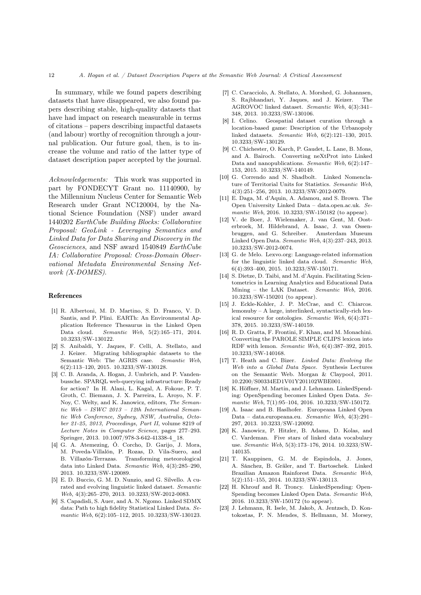In summary, while we found papers describing datasets that have disappeared, we also found papers describing stable, high-quality datasets that have had impact on research measurable in terms of citations – papers describing impactful datasets (and labour) worthy of recognition through a journal publication. Our future goal, then, is to increase the volume and ratio of the latter type of dataset description paper accepted by the journal.

Acknowledgements: This work was supported in part by FONDECYT Grant no. 11140900, by the Millennium Nucleus Center for Semantic Web Research under Grant NC120004, by the National Science Foundation (NSF) under award 1440202 EarthCube Building Blocks: Collaborative Proposal: GeoLink - Leveraging Semantics and Linked Data for Data Sharing and Discovery in the Geosciences, and NSF award 1540849 EarthCube IA: Collaborative Proposal: Cross-Domain Observational Metadata Environmental Sensing Network (X-DOMES).

# References

- <span id="page-11-10"></span>[1] R. Albertoni, M. D. Martino, S. D. Franco, V. D. Santis, and P. Plini. EARTh: An Environmental Application Reference Thesaurus in the Linked Open Data cloud. Semantic Web, 5(2):165–171, 2014. 10.3233/SW-130122.
- <span id="page-11-12"></span>[2] S. Anibaldi, Y. Jaques, F. Celli, A. Stellato, and J. Keizer. Migrating bibliographic datasets to the Semantic Web: The AGRIS case. Semantic Web, 6(2):113–120, 2015. 10.3233/SW-130128.
- <span id="page-11-22"></span>[3] C. B. Aranda, A. Hogan, J. Umbrich, and P. Vandenbussche. SPARQL web-querying infrastructure: Ready for action? In H. Alani, L. Kagal, A. Fokoue, P. T. Groth, C. Biemann, J. X. Parreira, L. Aroyo, N. F. Noy, C. Welty, and K. Janowicz, editors, The Semantic Web – ISWC 2013 – 12th International Semantic Web Conference, Sydney, NSW, Australia, October 21-25, 2013, Proceedings, Part II, volume 8219 of Lecture Notes in Computer Science, pages 277–293. Springer, 2013. 10.1007/978-3-642-41338-4\_18.
- <span id="page-11-5"></span>[4] G. A. Atemezing, Ó. Corcho, D. Garijo, J. Mora, M. Poveda-Villalón, P. Rozas, D. Vila-Suero, and B. Villazón-Terrazas. Transforming meteorological data into Linked Data. Semantic Web, 4(3):285–290, 2013. 10.3233/SW-120089.
- <span id="page-11-7"></span>[5] E. D. Buccio, G. M. D. Nunzio, and G. Silvello. A curated and evolving linguistic linked dataset. Semantic Web, 4(3):265–270, 2013. 10.3233/SW-2012-0083.
- <span id="page-11-13"></span>[6] S. Capadisli, S. Auer, and A. N. Ngomo. Linked SDMX data: Path to high fidelity Statistical Linked Data. Semantic Web, 6(2):105–112, 2015. 10.3233/SW-130123.
- <span id="page-11-3"></span>[7] C. Caracciolo, A. Stellato, A. Morshed, G. Johannsen, S. Rajbhandari, Y. Jaques, and J. Keizer. The AGROVOC linked dataset. Semantic Web, 4(3):341– 348, 2013. 10.3233/SW-130106.
- <span id="page-11-14"></span>[8] I. Celino. Geospatial dataset curation through a location-based game: Description of the Urbanopoly linked datasets. Semantic Web, 6(2):121–130, 2015. 10.3233/SW-130129.
- <span id="page-11-15"></span>[9] C. Chichester, O. Karch, P. Gaudet, L. Lane, B. Mons, and A. Bairoch. Converting neXtProt into Linked Data and nanopublications. Semantic Web, 6(2):147– 153, 2015. 10.3233/SW-140149.
- <span id="page-11-8"></span>[10] G. Correndo and N. Shadbolt. Linked Nomenclature of Territorial Units for Statistics. Semantic Web, 4(3):251–256, 2013. 10.3233/SW-2012-0079.
- <span id="page-11-20"></span>[11] E. Daga, M. d'Aquin, A. Adamou, and S. Brown. The Open University Linked Data – data.open.ac.uk. Semantic Web, 2016. 10.3233/SW-150182 (to appear).
- <span id="page-11-6"></span>[12] V. de Boer, J. Wielemaker, J. van Gent, M. Oosterbroek, M. Hildebrand, A. Isaac, J. van Ossenbruggen, and G. Schreiber. Amsterdam Museum Linked Open Data. Semantic Web, 4(3):237–243, 2013. 10.3233/SW-2012-0074.
- <span id="page-11-18"></span>[13] G. de Melo. Lexvo.org: Language-related information for the linguistic linked data cloud. Semantic Web, 6(4):393–400, 2015. 10.3233/SW-150171.
- <span id="page-11-21"></span>[14] S. Dietze, D. Taibi, and M. d'Aquin. Facilitating Scientometrics in Learning Analytics and Educational Data Mining – the LAK Dataset. Semantic Web, 2016. 10.3233/SW-150201 (to appear).
- <span id="page-11-16"></span>[15] J. Eckle-Kohler, J. P. McCrae, and C. Chiarcos. lemonuby – A large, interlinked, syntactically-rich lexical resource for ontologies. Semantic Web, 6(4):371– 378, 2015. 10.3233/SW-140159.
- <span id="page-11-17"></span>[16] R. D. Gratta, F. Frontini, F. Khan, and M. Monachini. Converting the PAROLE SIMPLE CLIPS lexicon into RDF with lemon. Semantic Web, 6(4):387–392, 2015. 10.3233/SW-140168.
- <span id="page-11-0"></span>[17] T. Heath and C. Bizer. Linked Data: Evolving the Web into a Global Data Space. Synthesis Lectures on the Semantic Web. Morgan & Claypool, 2011. 10.2200/S00334ED1V01Y201102WBE001.
- <span id="page-11-19"></span>[18] K. Höffner, M. Martin, and J. Lehmann. LinkedSpending: OpenSpending becomes Linked Open Data. Semantic Web, 7(1):95–104, 2016. 10.3233/SW-150172.
- <span id="page-11-9"></span>[19] A. Isaac and B. Haslhofer. Europeana Linked Open Data – data.europeana.eu. Semantic Web, 4(3):291– 297, 2013. 10.3233/SW-120092.
- <span id="page-11-2"></span>[20] K. Janowicz, P. Hitzler, B. Adams, D. Kolas, and C. Vardeman. Five stars of linked data vocabulary use. Semantic Web, 5(3):173–176, 2014. 10.3233/SW-140135.
- <span id="page-11-11"></span>[21] T. Kauppinen, G. M. de Espindola, J. Jones, A. Sánchez, B. Gräler, and T. Bartoschek. Linked Brazilian Amazon Rainforest Data. Semantic Web, 5(2):151–155, 2014. 10.3233/SW-130113.
- <span id="page-11-4"></span>[22] H. Khrouf and R. Troncy. LinkedSpending: Open-Spending becomes Linked Open Data. Semantic Web, 2016. 10.3233/SW-150172 (to appear).
- <span id="page-11-1"></span>[23] J. Lehmann, R. Isele, M. Jakob, A. Jentzsch, D. Kontokostas, P. N. Mendes, S. Hellmann, M. Morsey,